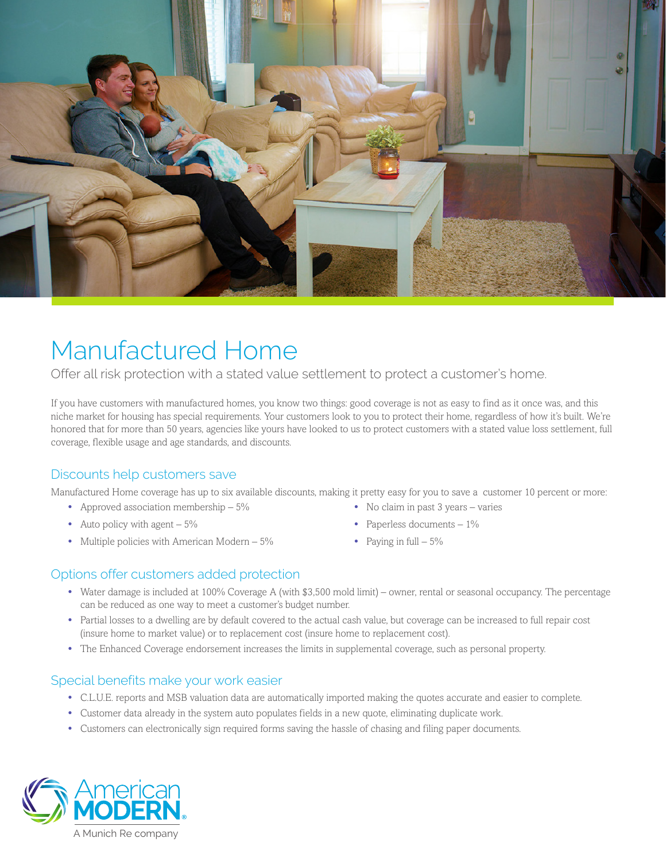

# Manufactured Home

Offer all risk protection with a stated value settlement to protect a customer's home.

If you have customers with manufactured homes, you know two things: good coverage is not as easy to find as it once was, and this niche market for housing has special requirements. Your customers look to you to protect their home, regardless of how it's built. We're honored that for more than 50 years, agencies like yours have looked to us to protect customers with a stated value loss settlement, full coverage, flexible usage and age standards, and discounts.

### Discounts help customers save

Manufactured Home coverage has up to six available discounts, making it pretty easy for you to save a customer 10 percent or more:

- **•** Approved association membership 5%
- Auto policy with agent  $5\%$
- Multiple policies with American Modern 5%
- **•** No claim in past 3 years varies
- **•** Paperless documents 1%
- **•** Paying in full 5%

#### Options offer customers added protection

- **•** Water damage is included at 100% Coverage A (with \$3,500 mold limit) owner, rental or seasonal occupancy. The percentage can be reduced as one way to meet a customer's budget number.
- **•** Partial losses to a dwelling are by default covered to the actual cash value, but coverage can be increased to full repair cost (insure home to market value) or to replacement cost (insure home to replacement cost).
- **•** The Enhanced Coverage endorsement increases the limits in supplemental coverage, such as personal property.

#### Special benefits make your work easier

- **•** C.L.U.E. reports and MSB valuation data are automatically imported making the quotes accurate and easier to complete.
- **•** Customer data already in the system auto populates fields in a new quote, eliminating duplicate work.
- **•** Customers can electronically sign required forms saving the hassle of chasing and filing paper documents.